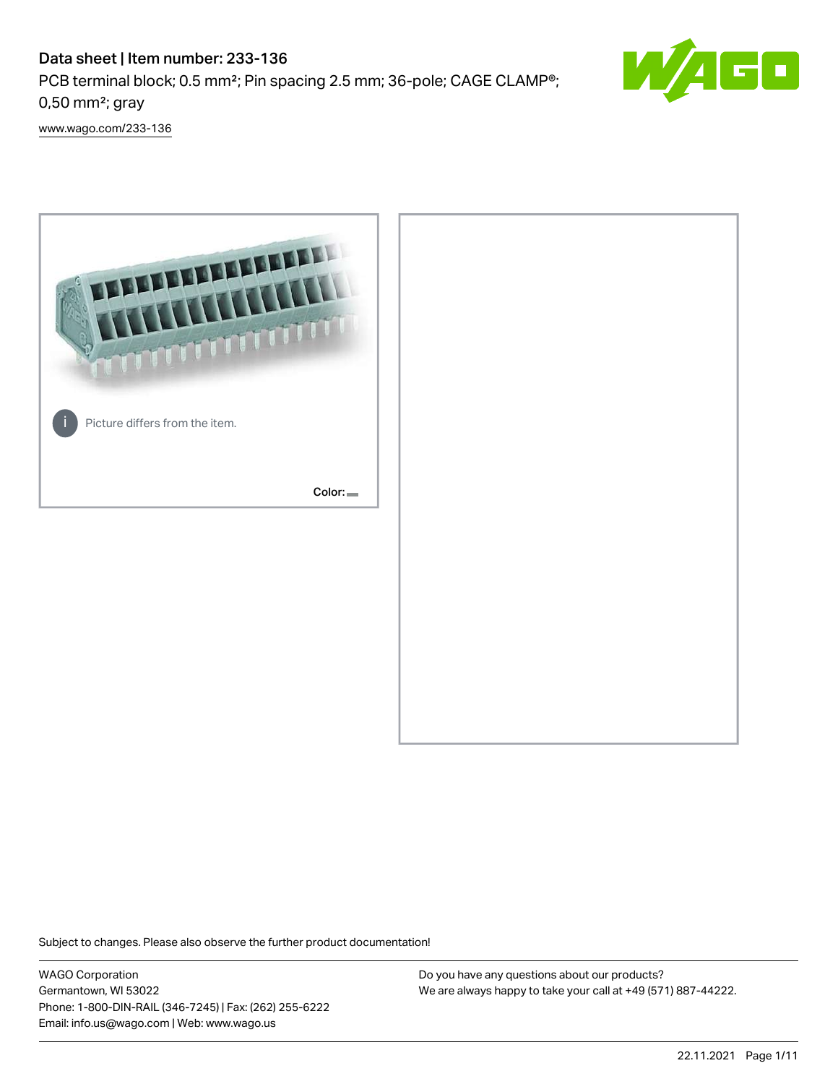# Data sheet | Item number: 233-136 PCB terminal block; 0.5 mm²; Pin spacing 2.5 mm; 36-pole; CAGE CLAMP®; 0,50 mm²; gray



[www.wago.com/233-136](http://www.wago.com/233-136)



Subject to changes. Please also observe the further product documentation!

WAGO Corporation Germantown, WI 53022 Phone: 1-800-DIN-RAIL (346-7245) | Fax: (262) 255-6222 Email: info.us@wago.com | Web: www.wago.us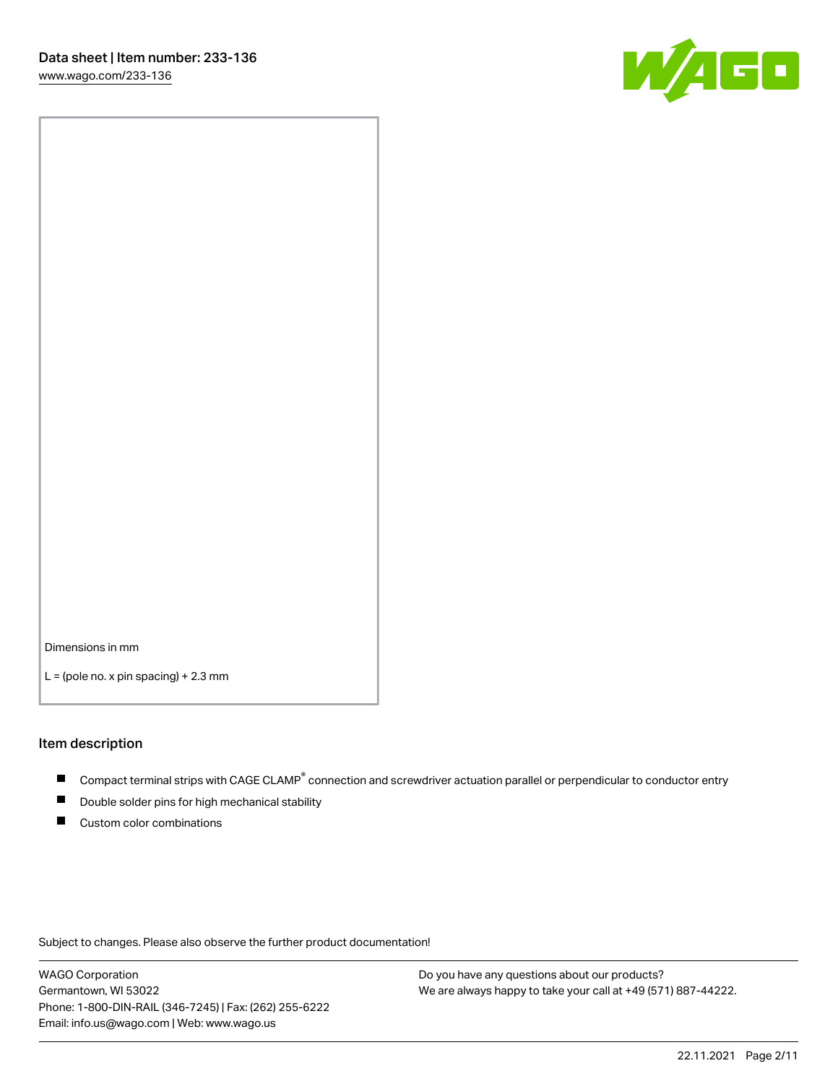

Dimensions in mm

 $L =$  (pole no. x pin spacing) + 2.3 mm

#### Item description

- Compact terminal strips with CAGE CLAMP<sup>®</sup> connection and screwdriver actuation parallel or perpendicular to conductor entry
- Double solder pins for high mechanical stability
- Custom color combinations

Subject to changes. Please also observe the further product documentation!

WAGO Corporation Germantown, WI 53022 Phone: 1-800-DIN-RAIL (346-7245) | Fax: (262) 255-6222 Email: info.us@wago.com | Web: www.wago.us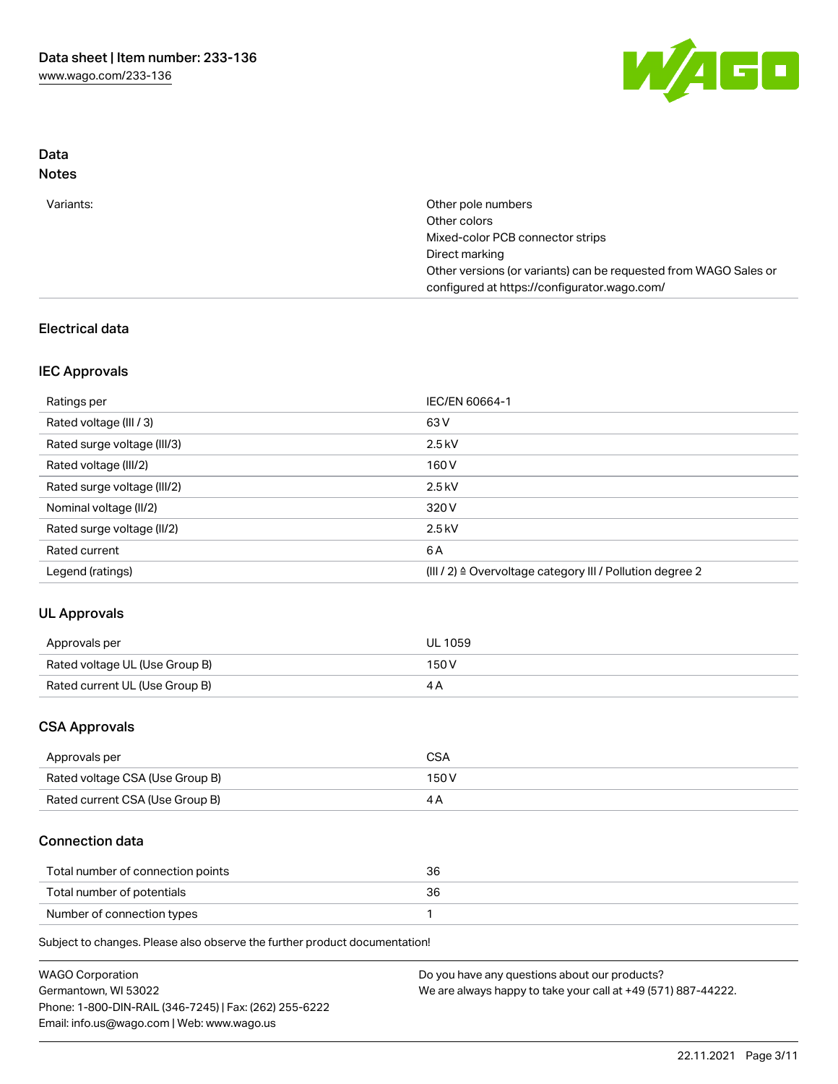

# Data Notes

| Variants: | Other pole numbers                                               |
|-----------|------------------------------------------------------------------|
|           | Other colors                                                     |
|           | Mixed-color PCB connector strips                                 |
|           | Direct marking                                                   |
|           | Other versions (or variants) can be requested from WAGO Sales or |
|           | configured at https://configurator.wago.com/                     |

# Electrical data

# IEC Approvals

| Ratings per                 | IEC/EN 60664-1                                                        |
|-----------------------------|-----------------------------------------------------------------------|
| Rated voltage (III / 3)     | 63 V                                                                  |
| Rated surge voltage (III/3) | $2.5$ kV                                                              |
| Rated voltage (III/2)       | 160 V                                                                 |
| Rated surge voltage (III/2) | $2.5$ kV                                                              |
| Nominal voltage (II/2)      | 320 V                                                                 |
| Rated surge voltage (II/2)  | $2.5$ kV                                                              |
| Rated current               | 6 A                                                                   |
| Legend (ratings)            | $(III / 2)$ $\triangle$ Overvoltage category III / Pollution degree 2 |

# UL Approvals

| Approvals per                  | <b>UL 1059</b> |
|--------------------------------|----------------|
| Rated voltage UL (Use Group B) | 150V           |
| Rated current UL (Use Group B) |                |

# CSA Approvals

| Approvals per                   | CSA   |
|---------------------------------|-------|
| Rated voltage CSA (Use Group B) | 150 V |
| Rated current CSA (Use Group B) |       |

# Connection data

| Total number of connection points | 36 |
|-----------------------------------|----|
| Total number of potentials        |    |
| Number of connection types        |    |

Subject to changes. Please also observe the further product documentation!

| <b>WAGO Corporation</b>                                | Do you have any questions about our products?                 |
|--------------------------------------------------------|---------------------------------------------------------------|
| Germantown, WI 53022                                   | We are always happy to take your call at +49 (571) 887-44222. |
| Phone: 1-800-DIN-RAIL (346-7245)   Fax: (262) 255-6222 |                                                               |
| Email: info.us@wago.com   Web: www.wago.us             |                                                               |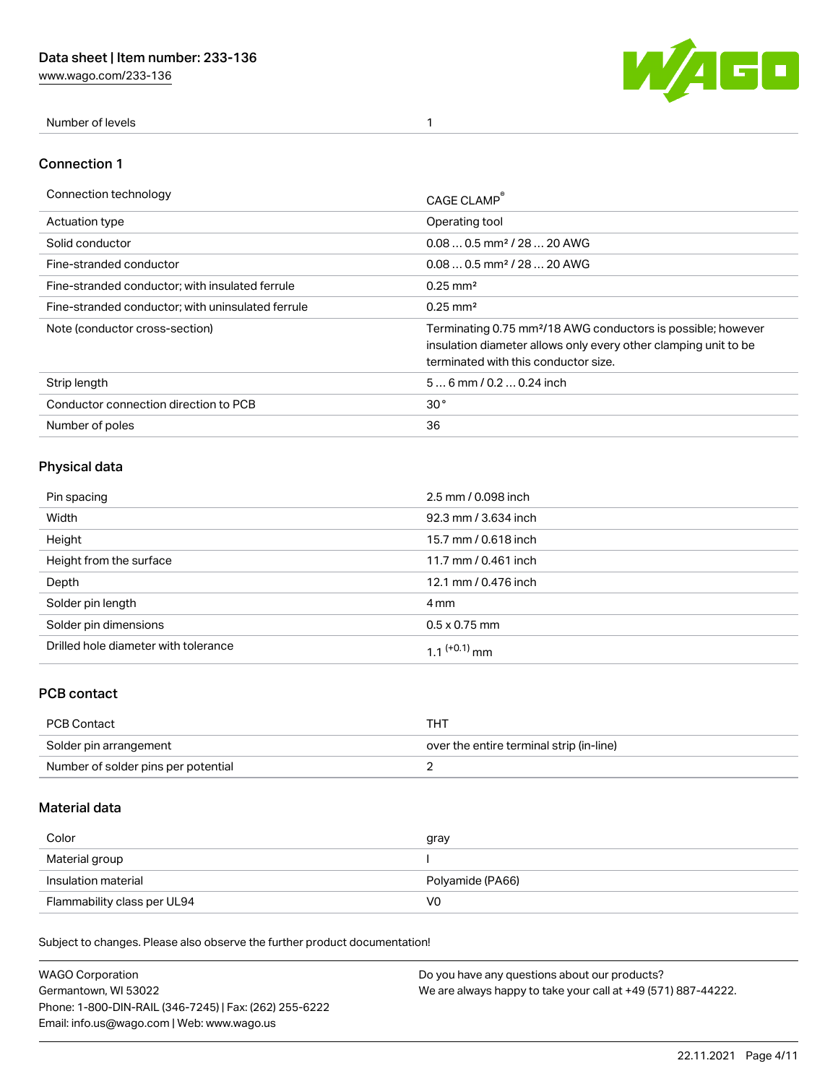[www.wago.com/233-136](http://www.wago.com/233-136)



Number of levels 1

#### Connection 1

| Connection technology                             | CAGE CLAMP                                                                                                                                                                          |
|---------------------------------------------------|-------------------------------------------------------------------------------------------------------------------------------------------------------------------------------------|
| <b>Actuation type</b>                             | Operating tool                                                                                                                                                                      |
| Solid conductor                                   | $0.080.5$ mm <sup>2</sup> / 28  20 AWG                                                                                                                                              |
| Fine-stranded conductor                           | $0.080.5$ mm <sup>2</sup> / 28  20 AWG                                                                                                                                              |
| Fine-stranded conductor; with insulated ferrule   | $0.25 \text{ mm}^2$                                                                                                                                                                 |
| Fine-stranded conductor: with uninsulated ferrule | $0.25 \text{ mm}^2$                                                                                                                                                                 |
| Note (conductor cross-section)                    | Terminating 0.75 mm <sup>2</sup> /18 AWG conductors is possible; however<br>insulation diameter allows only every other clamping unit to be<br>terminated with this conductor size. |
| Strip length                                      | $56$ mm $/ 0.20.24$ inch                                                                                                                                                            |
| Conductor connection direction to PCB             | 30 <sup>°</sup>                                                                                                                                                                     |
| Number of poles                                   | 36                                                                                                                                                                                  |

# Physical data

| Pin spacing                          | 2.5 mm / 0.098 inch  |
|--------------------------------------|----------------------|
| Width                                | 92.3 mm / 3.634 inch |
| Height                               | 15.7 mm / 0.618 inch |
| Height from the surface              | 11.7 mm / 0.461 inch |
| Depth                                | 12.1 mm / 0.476 inch |
| Solder pin length                    | 4 mm                 |
| Solder pin dimensions                | $0.5 \times 0.75$ mm |
| Drilled hole diameter with tolerance | 1 1 $(+0.1)$ mm      |

# PCB contact

| PCB Contact                         | THT                                      |
|-------------------------------------|------------------------------------------|
| Solder pin arrangement              | over the entire terminal strip (in-line) |
| Number of solder pins per potential |                                          |

# Material data

| Color               | gray             |
|---------------------|------------------|
| Material group      |                  |
| Insulation material | Polyamide (PA66) |
|                     |                  |

Subject to changes. Please also observe the further product documentation!

| <b>WAGO Corporation</b>                                | Do you have any questions about our products?                 |
|--------------------------------------------------------|---------------------------------------------------------------|
| Germantown, WI 53022                                   | We are always happy to take your call at +49 (571) 887-44222. |
| Phone: 1-800-DIN-RAIL (346-7245)   Fax: (262) 255-6222 |                                                               |
| Email: info.us@wago.com   Web: www.wago.us             |                                                               |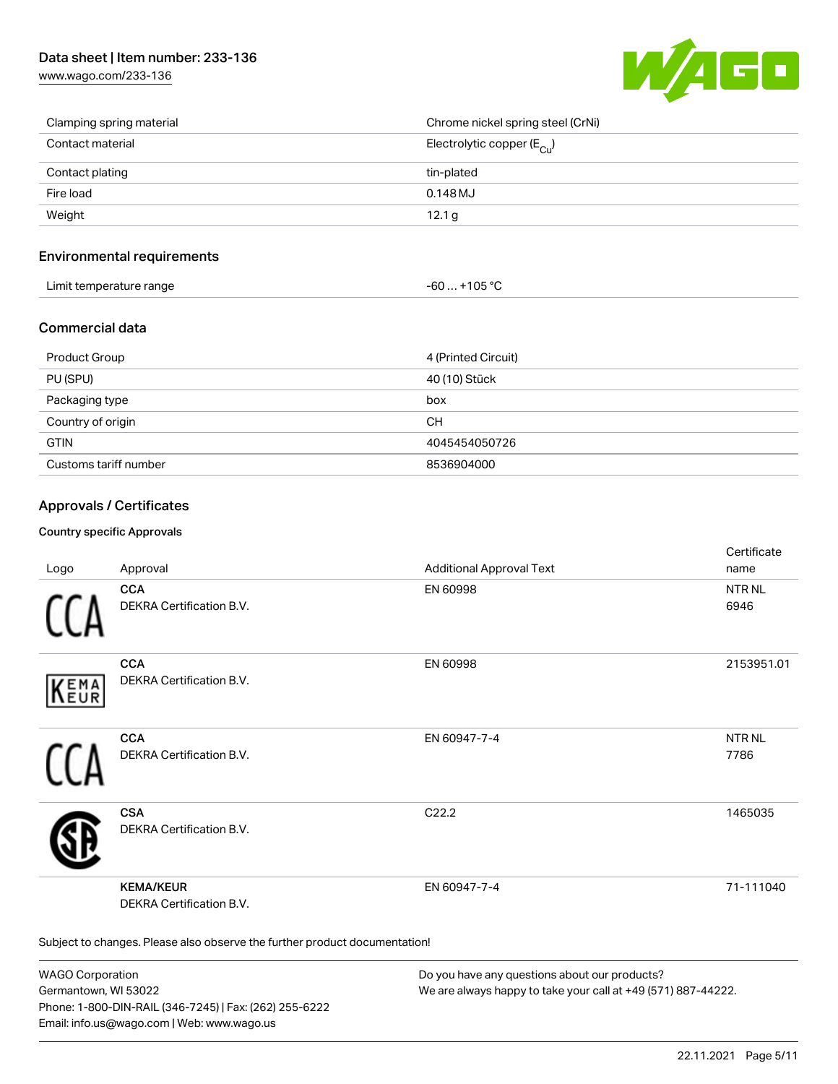# Data sheet | Item number: 233-136

[www.wago.com/233-136](http://www.wago.com/233-136)



| Clamping spring material | Chrome nickel spring steel (CrNi)       |
|--------------------------|-----------------------------------------|
| Contact material         | Electrolytic copper ( $E_{\text{Cl}}$ ) |
| Contact plating          | tin-plated                              |
| Fire load                | $0.148$ MJ                              |
| Weight                   | 12.1 <sub>q</sub>                       |

#### Environmental requirements

| Limit temperature range | $-60+105 °C$ |
|-------------------------|--------------|
|-------------------------|--------------|

### Commercial data

| Product Group         | 4 (Printed Circuit) |
|-----------------------|---------------------|
| PU (SPU)              | 40 (10) Stück       |
| Packaging type        | box                 |
| Country of origin     | <b>CH</b>           |
| <b>GTIN</b>           | 4045454050726       |
| Customs tariff number | 8536904000          |

### Approvals / Certificates

#### Country specific Approvals

| Logo                                                                       | Approval                                            | <b>Additional Approval Text</b> | Certificate<br>name   |  |
|----------------------------------------------------------------------------|-----------------------------------------------------|---------------------------------|-----------------------|--|
|                                                                            | <b>CCA</b><br>DEKRA Certification B.V.              | EN 60998                        | <b>NTR NL</b><br>6946 |  |
| EMA<br>EUR                                                                 | <b>CCA</b><br>DEKRA Certification B.V.              | EN 60998                        | 2153951.01            |  |
|                                                                            | <b>CCA</b><br>DEKRA Certification B.V.              | EN 60947-7-4                    | <b>NTRNL</b><br>7786  |  |
|                                                                            | <b>CSA</b><br>DEKRA Certification B.V.              | C <sub>22.2</sub>               | 1465035               |  |
|                                                                            | <b>KEMA/KEUR</b><br><b>DEKRA Certification B.V.</b> | EN 60947-7-4                    | 71-111040             |  |
| Subject to changes. Please also observe the further product documentation! |                                                     |                                 |                       |  |

WAGO Corporation Germantown, WI 53022 Phone: 1-800-DIN-RAIL (346-7245) | Fax: (262) 255-6222 Email: info.us@wago.com | Web: www.wago.us

Do you have any questions about our products? We are always happy to take your call at +49 (571) 887-44222.

 $C$  cattle at  $\epsilon$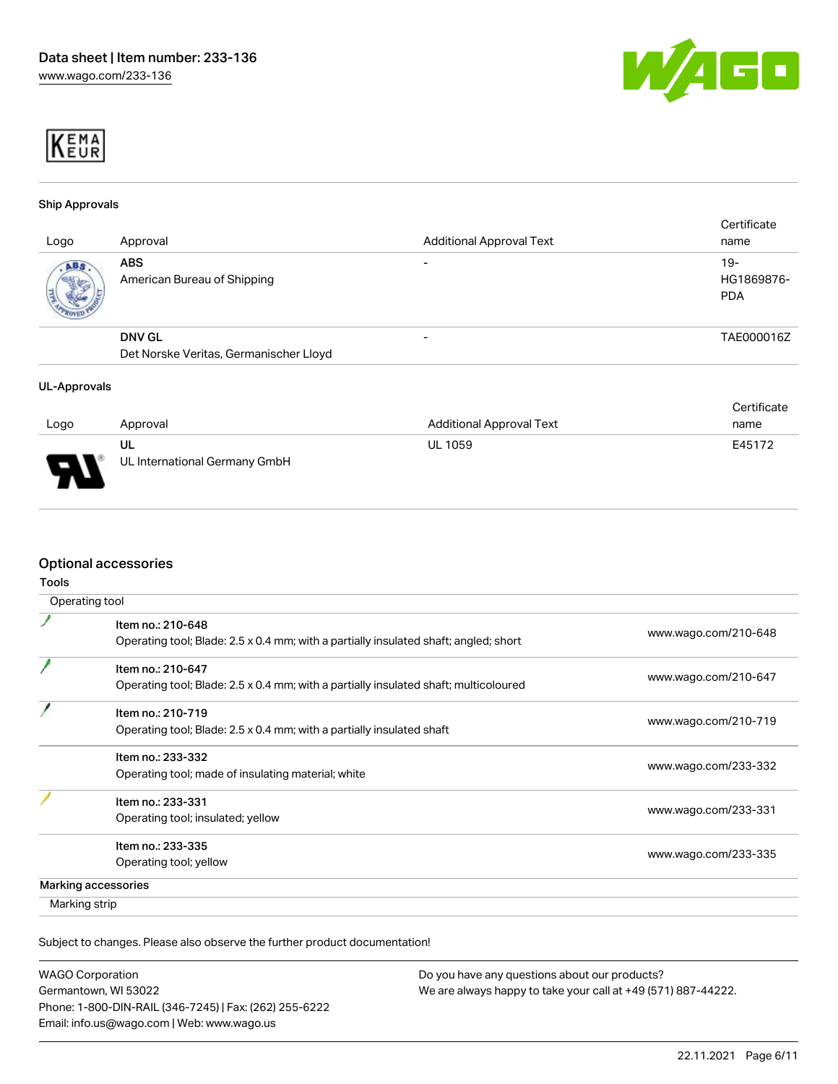



#### Ship Approvals

| Logo | Approval                                                | <b>Additional Approval Text</b> | Certificate<br>name               |
|------|---------------------------------------------------------|---------------------------------|-----------------------------------|
| ABS. | <b>ABS</b><br>American Bureau of Shipping               |                                 | $19-$<br>HG1869876-<br><b>PDA</b> |
|      | <b>DNV GL</b><br>Det Norske Veritas, Germanischer Lloyd | -                               | TAE000016Z                        |

#### UL-Approvals

|                          |                                     |                                 | Certificate |
|--------------------------|-------------------------------------|---------------------------------|-------------|
| Logo                     | Approval                            | <b>Additional Approval Text</b> | name        |
| $\overline{\phantom{0}}$ | UL<br>UL International Germany GmbH | <b>UL 1059</b>                  | E45172      |

### Optional accessories

| Operating tool                                                                       |                      |
|--------------------------------------------------------------------------------------|----------------------|
| Item no.: 210-648                                                                    |                      |
| Operating tool; Blade: 2.5 x 0.4 mm; with a partially insulated shaft; angled; short | www.wago.com/210-648 |
| Item no.: 210-647                                                                    |                      |
| Operating tool; Blade: 2.5 x 0.4 mm; with a partially insulated shaft; multicoloured | www.wago.com/210-647 |
| Item no.: 210-719                                                                    |                      |
| Operating tool; Blade: 2.5 x 0.4 mm; with a partially insulated shaft                | www.wago.com/210-719 |
| Item no.: 233-332                                                                    |                      |
| Operating tool; made of insulating material; white                                   | www.wago.com/233-332 |
| Item no.: 233-331                                                                    |                      |
| Operating tool; insulated; yellow                                                    | www.wago.com/233-331 |
| Item no.: 233-335                                                                    |                      |
| Operating tool; yellow                                                               | www.wago.com/233-335 |
| Marking accessories                                                                  |                      |
| Marking strip                                                                        |                      |

Subject to changes. Please also observe the further product documentation!

| <b>WAGO Corporation</b>                                |
|--------------------------------------------------------|
| Germantown, WI 53022                                   |
| Phone: 1-800-DIN-RAIL (346-7245)   Fax: (262) 255-6222 |
| Email: info.us@wago.com   Web: www.wago.us             |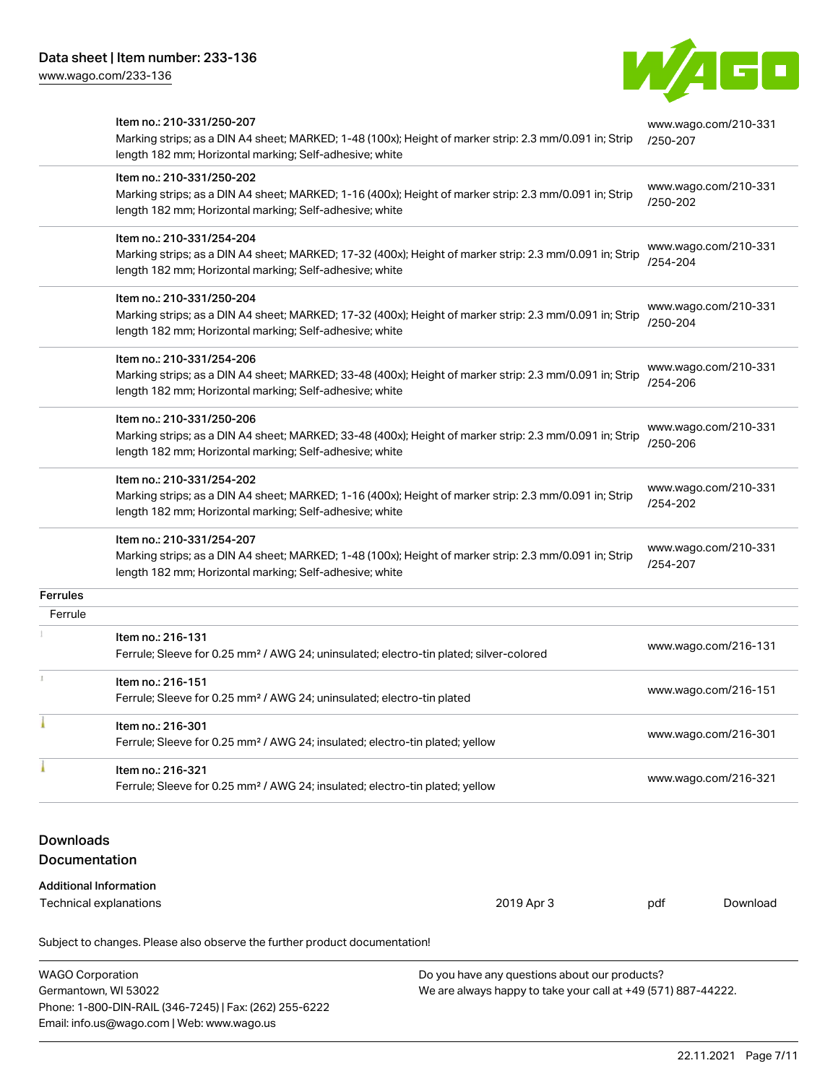Email: info.us@wago.com | Web: www.wago.us

[www.wago.com/233-136](http://www.wago.com/233-136)



|          | Ferrule; Sleeve for 0.25 mm <sup>2</sup> / AWG 24; insulated; electro-tin plated; yellow<br>Item no.: 216-321<br>Ferrule; Sleeve for 0.25 mm <sup>2</sup> / AWG 24; insulated; electro-tin plated; yellow |                                  | www.wago.com/216-321                         |
|----------|-----------------------------------------------------------------------------------------------------------------------------------------------------------------------------------------------------------|----------------------------------|----------------------------------------------|
| T.       | Item no.: 216-151<br>Ferrule; Sleeve for 0.25 mm <sup>2</sup> / AWG 24; uninsulated; electro-tin plated<br>Item no.: 216-301                                                                              |                                  | www.wago.com/216-151<br>www.wago.com/216-301 |
| Ferrule  | Item no.: 216-131<br>Ferrule; Sleeve for 0.25 mm <sup>2</sup> / AWG 24; uninsulated; electro-tin plated; silver-colored                                                                                   |                                  | www.wago.com/216-131                         |
| Ferrules |                                                                                                                                                                                                           |                                  |                                              |
|          | Item no.: 210-331/254-207<br>Marking strips; as a DIN A4 sheet; MARKED; 1-48 (100x); Height of marker strip: 2.3 mm/0.091 in; Strip<br>length 182 mm; Horizontal marking; Self-adhesive; white            | /254-207                         | www.wago.com/210-331                         |
|          | Item no.: 210-331/254-202<br>Marking strips; as a DIN A4 sheet; MARKED; 1-16 (400x); Height of marker strip: 2.3 mm/0.091 in; Strip<br>length 182 mm; Horizontal marking; Self-adhesive; white            | /254-202                         | www.wago.com/210-331                         |
|          | Item no.: 210-331/250-206<br>Marking strips; as a DIN A4 sheet; MARKED; 33-48 (400x); Height of marker strip: 2.3 mm/0.091 in; Strip<br>length 182 mm; Horizontal marking; Self-adhesive; white           | /250-206                         | www.wago.com/210-331                         |
|          | Item no.: 210-331/254-206<br>Marking strips; as a DIN A4 sheet; MARKED; 33-48 (400x); Height of marker strip: 2.3 mm/0.091 in; Strip<br>length 182 mm; Horizontal marking; Self-adhesive; white           | /254-206                         | www.wago.com/210-331                         |
|          | Item no.: 210-331/250-204<br>Marking strips; as a DIN A4 sheet; MARKED; 17-32 (400x); Height of marker strip: 2.3 mm/0.091 in; Strip<br>length 182 mm; Horizontal marking; Self-adhesive; white           | /250-204                         | www.wago.com/210-331                         |
|          | Item no.: 210-331/254-204<br>Marking strips; as a DIN A4 sheet; MARKED; 17-32 (400x); Height of marker strip: 2.3 mm/0.091 in; Strip<br>length 182 mm; Horizontal marking; Self-adhesive; white           | /254-204                         | www.wago.com/210-331                         |
|          | Item no.: 210-331/250-202<br>Marking strips; as a DIN A4 sheet; MARKED; 1-16 (400x); Height of marker strip: 2.3 mm/0.091 in; Strip<br>length 182 mm; Horizontal marking; Self-adhesive; white            | /250-202                         | www.wago.com/210-331                         |
|          | Marking strips; as a DIN A4 sheet; MARKED; 1-48 (100x); Height of marker strip: 2.3 mm/0.091 in; Strip<br>length 182 mm; Horizontal marking; Self-adhesive; white                                         | www.wago.com/210-331<br>/250-207 |                                              |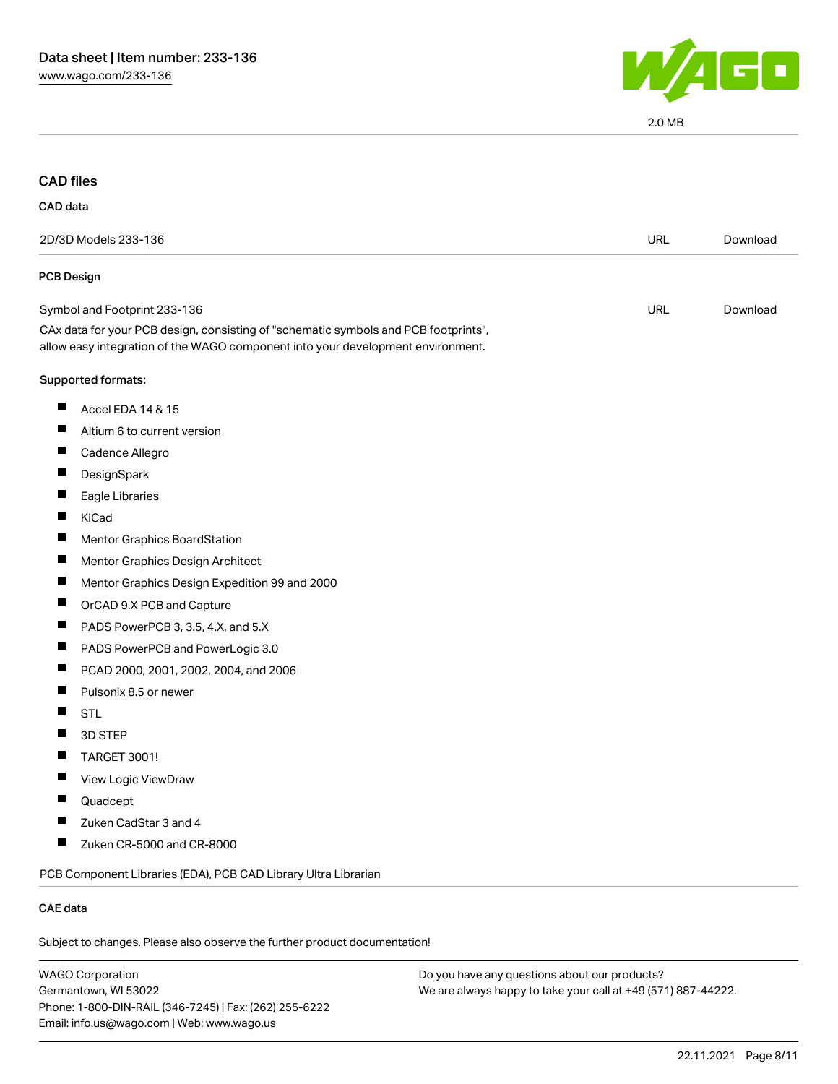

2.0 MB

# CAD files

#### CAD data

| 2D/3D Models 233-136                                                                                                                                                   | URL        | Download |
|------------------------------------------------------------------------------------------------------------------------------------------------------------------------|------------|----------|
| <b>PCB Design</b>                                                                                                                                                      |            |          |
| Symbol and Footprint 233-136                                                                                                                                           | <b>URL</b> | Download |
| CAx data for your PCB design, consisting of "schematic symbols and PCB footprints",<br>allow easy integration of the WAGO component into your development environment. |            |          |
| Supported formats:                                                                                                                                                     |            |          |
| Accel EDA 14 & 15<br>ш                                                                                                                                                 |            |          |
| ш<br>Altium 6 to current version                                                                                                                                       |            |          |
| Ш<br>Cadence Allegro                                                                                                                                                   |            |          |
| ш<br>DesignSpark                                                                                                                                                       |            |          |
| Ш<br>Eagle Libraries                                                                                                                                                   |            |          |
| H<br>KiCad                                                                                                                                                             |            |          |
| ш<br>Mentor Graphics BoardStation                                                                                                                                      |            |          |
| ш<br>Mentor Graphics Design Architect                                                                                                                                  |            |          |
| Ш<br>Mentor Graphics Design Expedition 99 and 2000                                                                                                                     |            |          |
| ш<br>OrCAD 9.X PCB and Capture                                                                                                                                         |            |          |
| Ш<br>PADS PowerPCB 3, 3.5, 4.X, and 5.X                                                                                                                                |            |          |
| ш<br>PADS PowerPCB and PowerLogic 3.0                                                                                                                                  |            |          |
| PCAD 2000, 2001, 2002, 2004, and 2006<br>Ш                                                                                                                             |            |          |
| ш<br>Pulsonix 8.5 or newer                                                                                                                                             |            |          |
| Ш<br><b>STL</b>                                                                                                                                                        |            |          |
| 3D STEP                                                                                                                                                                |            |          |
| ш<br>TARGET 3001!                                                                                                                                                      |            |          |
| Ш<br>View Logic ViewDraw                                                                                                                                               |            |          |
| Quadcept                                                                                                                                                               |            |          |
| ш<br>Zuken CadStar 3 and 4                                                                                                                                             |            |          |
| ш<br>Zuken CR-5000 and CR-8000                                                                                                                                         |            |          |
| PCB Component Libraries (EDA), PCB CAD Library Ultra Librarian                                                                                                         |            |          |
| <b>CAE</b> data                                                                                                                                                        |            |          |

Subject to changes. Please also observe the further product documentation!

WAGO Corporation Germantown, WI 53022 Phone: 1-800-DIN-RAIL (346-7245) | Fax: (262) 255-6222 Email: info.us@wago.com | Web: www.wago.us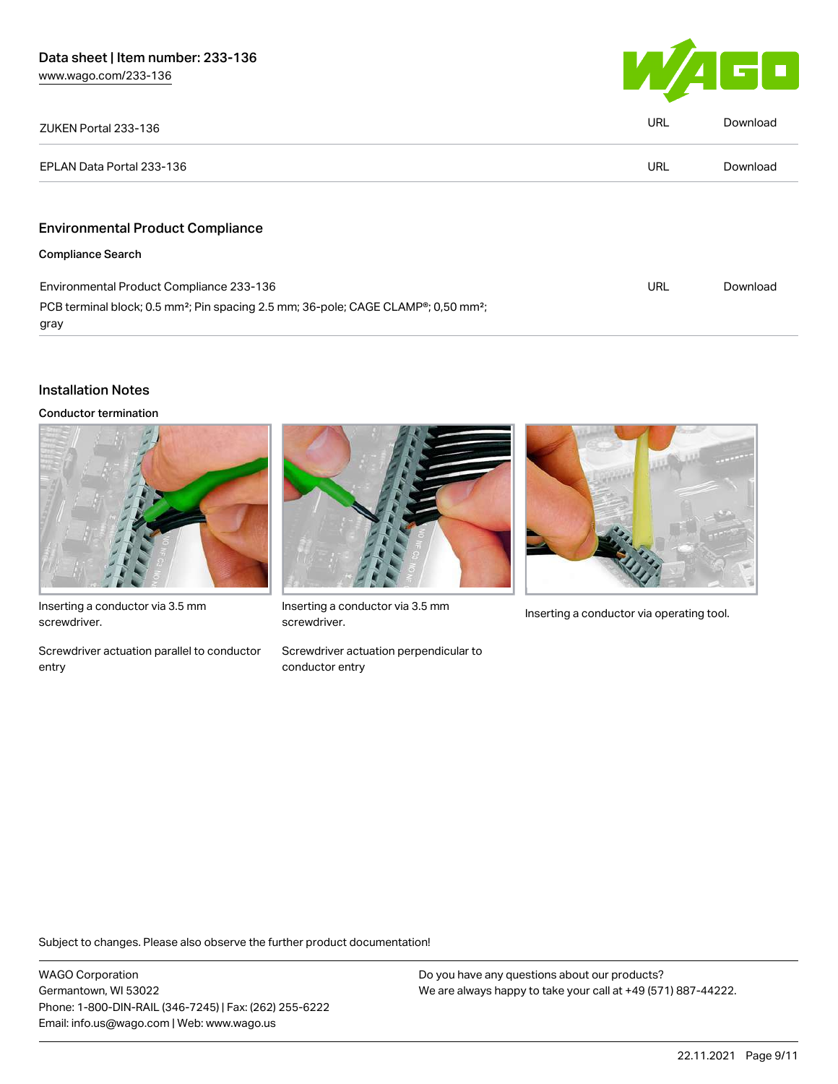

| ZUKEN Portal 233-136                                                                                                    | <b>URL</b> | Download |
|-------------------------------------------------------------------------------------------------------------------------|------------|----------|
| EPLAN Data Portal 233-136                                                                                               | <b>URL</b> | Download |
| <b>Environmental Product Compliance</b>                                                                                 |            |          |
| <b>Compliance Search</b>                                                                                                |            |          |
| Environmental Product Compliance 233-136                                                                                | URL        | Download |
| PCB terminal block; 0.5 mm <sup>2</sup> ; Pin spacing 2.5 mm; 36-pole; CAGE CLAMP <sup>®</sup> ; 0,50 mm <sup>2</sup> ; |            |          |

#### Installation Notes

gray

Conductor termination



Inserting a conductor via 3.5 mm screwdriver.

Screwdriver actuation parallel to conductor entry



Inserting a conductor via 3.5 mm<br>Inserting a conductor via operating tool. screwdriver.

Screwdriver actuation perpendicular to conductor entry



Subject to changes. Please also observe the further product documentation!

WAGO Corporation Germantown, WI 53022 Phone: 1-800-DIN-RAIL (346-7245) | Fax: (262) 255-6222 Email: info.us@wago.com | Web: www.wago.us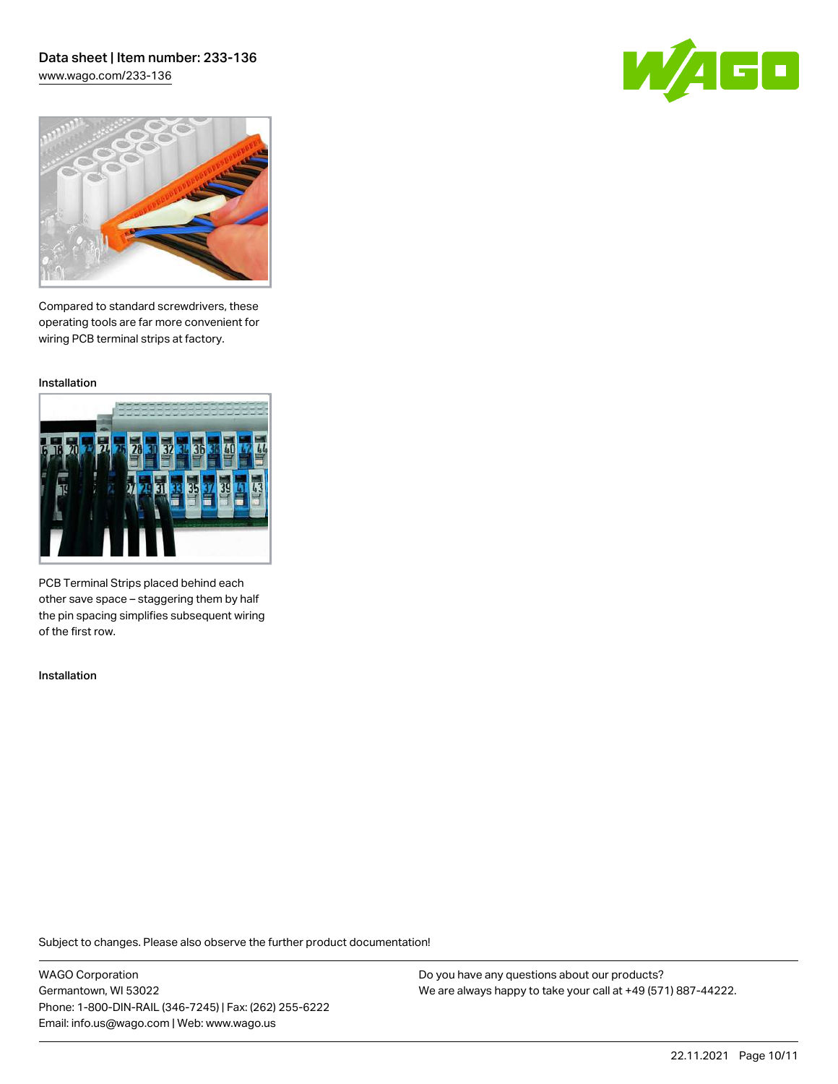## Data sheet | Item number: 233-136 [www.wago.com/233-136](http://www.wago.com/233-136)

60



Compared to standard screwdrivers, these operating tools are far more convenient for wiring PCB terminal strips at factory.

Installation



PCB Terminal Strips placed behind each other save space – staggering them by half the pin spacing simplifies subsequent wiring of the first row.

Installation

Subject to changes. Please also observe the further product documentation!

WAGO Corporation Germantown, WI 53022 Phone: 1-800-DIN-RAIL (346-7245) | Fax: (262) 255-6222 Email: info.us@wago.com | Web: www.wago.us